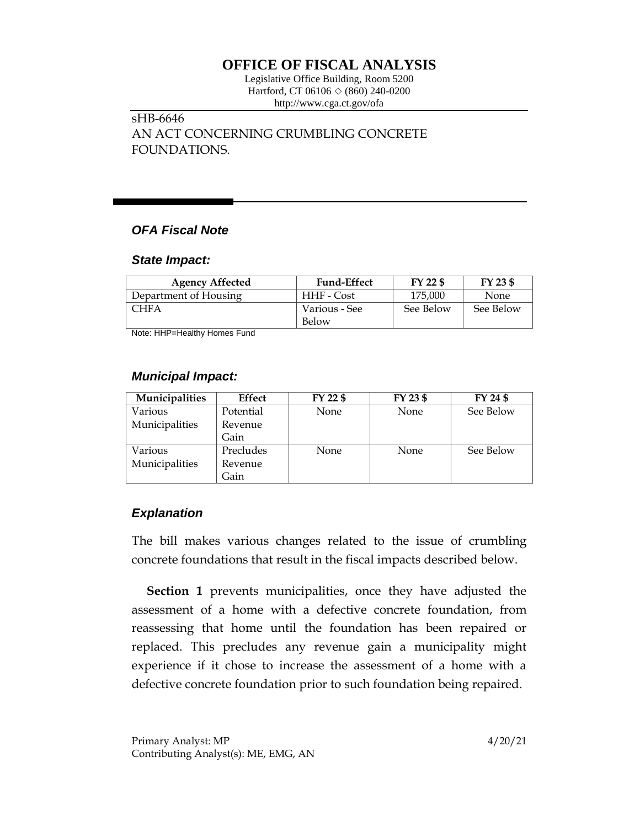# **OFFICE OF FISCAL ANALYSIS**

Legislative Office Building, Room 5200 Hartford, CT 06106  $\Diamond$  (860) 240-0200 http://www.cga.ct.gov/ofa

sHB-6646 AN ACT CONCERNING CRUMBLING CONCRETE FOUNDATIONS.

### *OFA Fiscal Note*

#### *State Impact:*

| <b>Agency Affected</b> | <b>Fund-Effect</b> | FY 22 \$  | FY 23 \$  |
|------------------------|--------------------|-----------|-----------|
| Department of Housing  | HHF - Cost         | 175,000   | None      |
| ~HFA                   | Various - See      | See Below | See Below |
|                        | Below              |           |           |

Note: HHP=Healthy Homes Fund

### *Municipal Impact:*

| Municipalities | Effect    | $FY$ 22 $$$ | $FY$ 23 \$ | FY 24 \$  |
|----------------|-----------|-------------|------------|-----------|
| Various        | Potential | None        | None       | See Below |
| Municipalities | Revenue   |             |            |           |
|                | Gain      |             |            |           |
| Various        | Precludes | None        | None       | See Below |
| Municipalities | Revenue   |             |            |           |
|                | Gain      |             |            |           |

## *Explanation*

The bill makes various changes related to the issue of crumbling concrete foundations that result in the fiscal impacts described below.

**Section 1** prevents municipalities, once they have adjusted the assessment of a home with a defective concrete foundation, from reassessing that home until the foundation has been repaired or replaced. This precludes any revenue gain a municipality might experience if it chose to increase the assessment of a home with a defective concrete foundation prior to such foundation being repaired.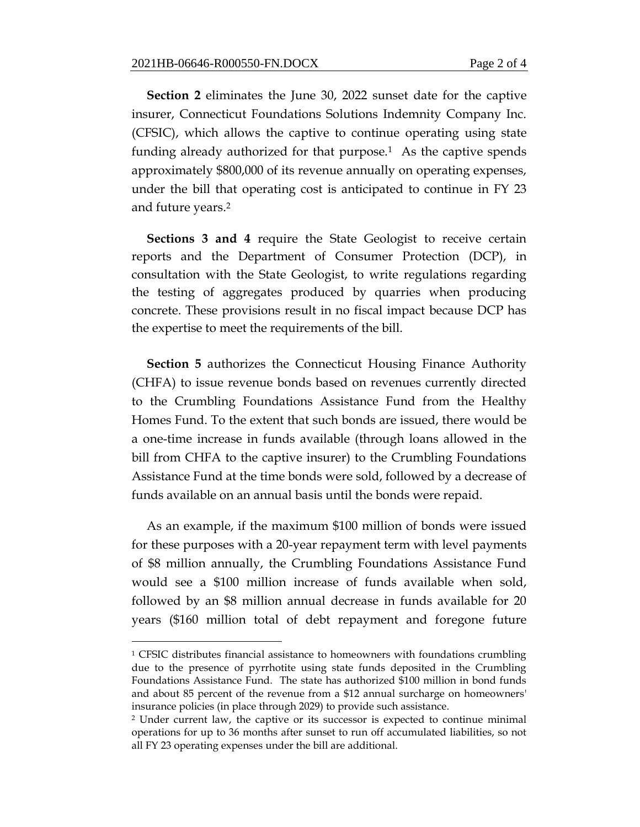**Section 2** eliminates the June 30, 2022 sunset date for the captive insurer, Connecticut Foundations Solutions Indemnity Company Inc. (CFSIC), which allows the captive to continue operating using state funding already authorized for that purpose.<sup>1</sup> As the captive spends approximately \$800,000 of its revenue annually on operating expenses, under the bill that operating cost is anticipated to continue in FY 23 and future years. 2

**Sections 3 and 4** require the State Geologist to receive certain reports and the Department of Consumer Protection (DCP), in consultation with the State Geologist, to write regulations regarding the testing of aggregates produced by quarries when producing concrete. These provisions result in no fiscal impact because DCP has the expertise to meet the requirements of the bill.

**Section 5** authorizes the Connecticut Housing Finance Authority (CHFA) to issue revenue bonds based on revenues currently directed to the Crumbling Foundations Assistance Fund from the Healthy Homes Fund. To the extent that such bonds are issued, there would be a one-time increase in funds available (through loans allowed in the bill from CHFA to the captive insurer) to the Crumbling Foundations Assistance Fund at the time bonds were sold, followed by a decrease of funds available on an annual basis until the bonds were repaid.

As an example, if the maximum \$100 million of bonds were issued for these purposes with a 20-year repayment term with level payments of \$8 million annually, the Crumbling Foundations Assistance Fund would see a \$100 million increase of funds available when sold, followed by an \$8 million annual decrease in funds available for 20 years (\$160 million total of debt repayment and foregone future

 $\overline{a}$ 

<sup>&</sup>lt;sup>1</sup> CFSIC distributes financial assistance to homeowners with foundations crumbling due to the presence of pyrrhotite using state funds deposited in the Crumbling Foundations Assistance Fund. The state has authorized \$100 million in bond funds and about 85 percent of the revenue from a \$12 annual surcharge on homeowners' insurance policies (in place through 2029) to provide such assistance.

<sup>2</sup> Under current law, the captive or its successor is expected to continue minimal operations for up to 36 months after sunset to run off accumulated liabilities, so not all FY 23 operating expenses under the bill are additional.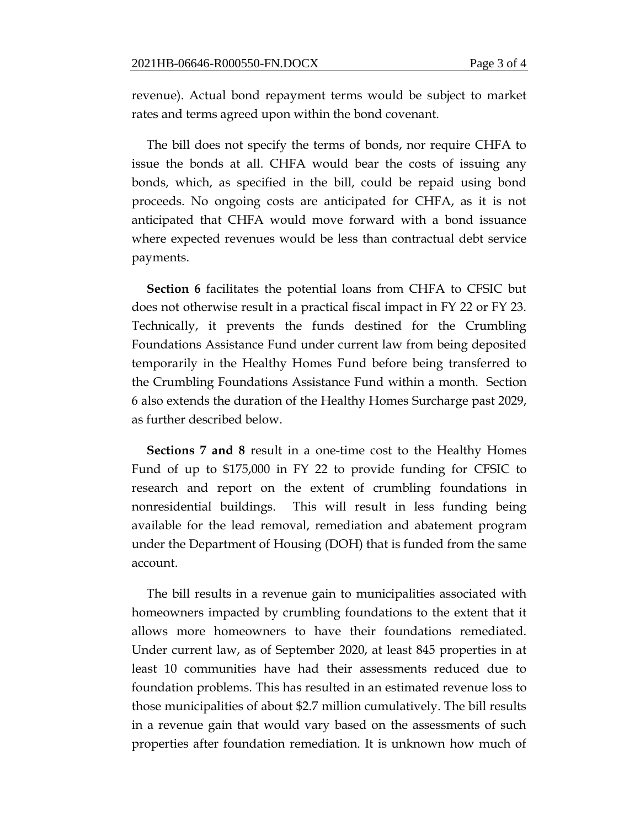revenue). Actual bond repayment terms would be subject to market rates and terms agreed upon within the bond covenant.

The bill does not specify the terms of bonds, nor require CHFA to issue the bonds at all. CHFA would bear the costs of issuing any bonds, which, as specified in the bill, could be repaid using bond proceeds. No ongoing costs are anticipated for CHFA, as it is not anticipated that CHFA would move forward with a bond issuance where expected revenues would be less than contractual debt service payments.

**Section 6** facilitates the potential loans from CHFA to CFSIC but does not otherwise result in a practical fiscal impact in FY 22 or FY 23. Technically, it prevents the funds destined for the Crumbling Foundations Assistance Fund under current law from being deposited temporarily in the Healthy Homes Fund before being transferred to the Crumbling Foundations Assistance Fund within a month. Section 6 also extends the duration of the Healthy Homes Surcharge past 2029, as further described below.

**Sections 7 and 8** result in a one-time cost to the Healthy Homes Fund of up to \$175,000 in FY 22 to provide funding for CFSIC to research and report on the extent of crumbling foundations in nonresidential buildings. This will result in less funding being available for the lead removal, remediation and abatement program under the Department of Housing (DOH) that is funded from the same account.

The bill results in a revenue gain to municipalities associated with homeowners impacted by crumbling foundations to the extent that it allows more homeowners to have their foundations remediated. Under current law, as of September 2020, at least 845 properties in at least 10 communities have had their assessments reduced due to foundation problems. This has resulted in an estimated revenue loss to those municipalities of about \$2.7 million cumulatively. The bill results in a revenue gain that would vary based on the assessments of such properties after foundation remediation. It is unknown how much of